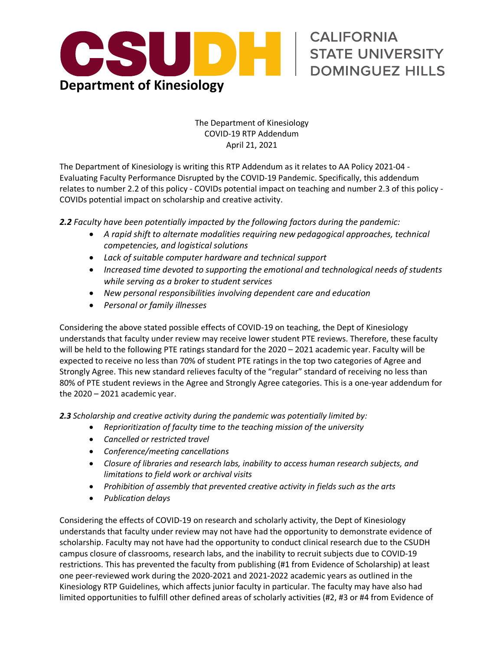

## The Department of Kinesiology COVID-19 RTP Addendum April 21, 2021

STATE UNIVERSITY

DOMINGUEZ HILLS

 The Department of Kinesiology is writing this RTP Addendum as it relates to AA Policy 2021-04 - Evaluating Faculty Performance Disrupted by the COVID-19 Pandemic. Specifically, this addendum relates to number 2.2 of this policy - COVIDs potential impact on teaching and number 2.3 of this policy - COVIDs potential impact on scholarship and creative activity.

 *2.2 Faculty have been potentially impacted by the following factors during the pandemic:* 

- *A rapid shift to alternate modalities requiring new pedagogical approaches, technical competencies, and logistical solutions*
- *Lack of suitable computer hardware and technical support*
- **•** Increased time devoted to supporting the emotional and technological needs of students  *while serving as a broker to student services*
- *New personal responsibilities involving dependent care and education*
- *Personal or family illnesses*

 Considering the above stated possible effects of COVID-19 on teaching, the Dept of Kinesiology understands that faculty under review may receive lower student PTE reviews. Therefore, these faculty will be held to the following PTE ratings standard for the 2020 – 2021 academic year. Faculty will be expected to receive no less than 70% of student PTE ratings in the top two categories of Agree and Strongly Agree. This new standard relieves faculty of the "regular" standard of receiving no less than 80% of PTE student reviews in the Agree and Strongly Agree categories. This is a one-year addendum for the 2020 – 2021 academic year.

 *2.3 Scholarship and creative activity during the pandemic was potentially limited by:* 

- *Reprioritization of faculty time to the teaching mission of the university*
- *Cancelled or restricted travel*
- *Conference/meeting cancellations*
- *Closure of libraries and research labs, inability to access human research subjects, and limitations to field work or archival visits*
- *Prohibition of assembly that prevented creative activity in fields such as the arts*
- *Publication delays*

 Considering the effects of COVID-19 on research and scholarly activity, the Dept of Kinesiology understands that faculty under review may not have had the opportunity to demonstrate evidence of scholarship. Faculty may not have had the opportunity to conduct clinical research due to the CSUDH campus closure of classrooms, research labs, and the inability to recruit subjects due to COVID-19 restrictions. This has prevented the faculty from publishing (#1 from Evidence of Scholarship) at least one peer-reviewed work during the 2020-2021 and 2021-2022 academic years as outlined in the Kinesiology RTP Guidelines, which affects junior faculty in particular. The faculty may have also had limited opportunities to fulfill other defined areas of scholarly activities (#2, #3 or #4 from Evidence of